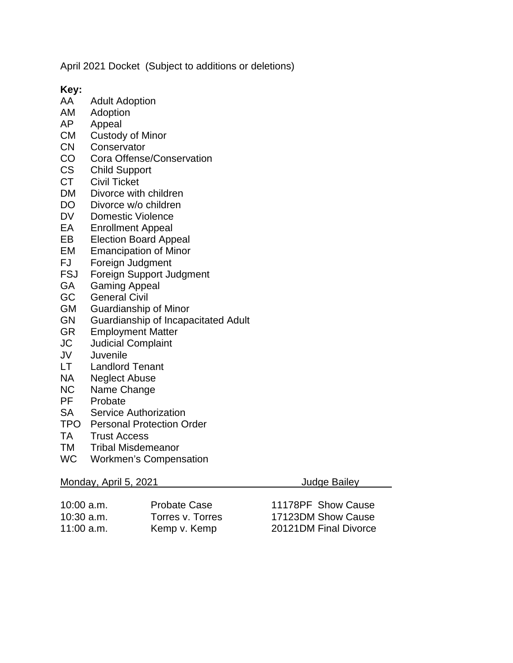April 2021 Docket (Subject to additions or deletions)

**Key:**

- **Adult Adoption**
- AM Adoption
- AP Appeal
- CM Custody of Minor
- CN Conservator
- CO Cora Offense/Conservation
- CS Child Support<br>CT Civil Ticket
- Civil Ticket
- DM Divorce with children
- DO Divorce w/o children
- DV Domestic Violence<br>EA Enrollment Appeal
- **Enrollment Appeal**
- EB Election Board Appeal
- EM Emancipation of Minor<br>FJ Foreian Judament
- Foreign Judgment
- FSJ Foreign Support Judgment<br>GA Gaming Appeal
- Gaming Appeal
- GC General Civil
- GM Guardianship of Minor
- GN Guardianship of Incapacitated Adult<br>GR Employment Matter
- **Employment Matter**
- JC Judicial Complaint
- JV Juvenile
- Landlord Tenant
- NA Neglect Abuse
- NC Name Change<br>PF Probate
- Probate
- SA Service Authorization
- TPO Personal Protection Order
- TA Trust Access
- TM Tribal Misdemeanor
- WC Workmen's Compensation

## Monday, April 5, 2021 **Judge Bailey**

| 10:00 a.m. | <b>Probate Case</b> | 11178PF Show Cause    |
|------------|---------------------|-----------------------|
| 10:30 a.m. | Torres v. Torres    | 17123DM Show Cause    |
| 11:00 a.m. | Kemp v. Kemp        | 20121DM Final Divorce |